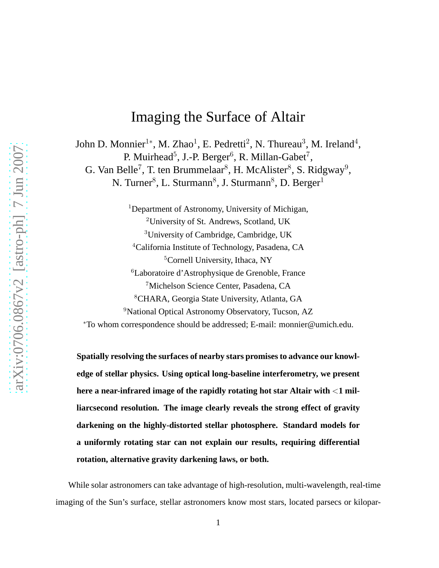## Imaging the Surface of Altair

John D. Monnier<sup>1\*</sup>, M. Zhao<sup>1</sup>, E. Pedretti<sup>2</sup>, N. Thureau<sup>3</sup>, M. Ireland<sup>4</sup>, P. Muirhead<sup>5</sup>, J.-P. Berger<sup>6</sup>, R. Millan-Gabet<sup>7</sup>, G. Van Belle<sup>7</sup>, T. ten Brummelaar<sup>8</sup>, H. McAlister<sup>8</sup>, S. Ridgway<sup>9</sup>, N. Turner<sup>8</sup>, L. Sturmann<sup>8</sup>, J. Sturmann<sup>8</sup>, D. Berger<sup>1</sup>

> <sup>1</sup>Department of Astronomy, University of Michigan, University of St. Andrews, Scotland, UK University of Cambridge, Cambridge, UK <sup>4</sup>California Institute of Technology, Pasadena, CA Cornell University, Ithaca, NY Laboratoire d'Astrophysique de Grenoble, France Michelson Science Center, Pasadena, CA CHARA, Georgia State University, Atlanta, GA <sup>9</sup>National Optical Astronomy Observatory, Tucson, AZ

<sup>∗</sup>To whom correspondence should be addressed; E-mail: monnier@umich.edu.

**Spatially resolving the surfaces of nearby stars promises to advance our knowledge of stellar physics. Using optical long-baseline interferometry, we present here a near-infrared image of the rapidly rotating hot star Altair with** <**1 milliarcsecond resolution. The image clearly reveals the strong effect of gravity darkening on the highly-distorted stellar photosphere. Standard models for a uniformly rotating star can not explain our results, requiring differential rotation, alternative gravity darkening laws, or both.**

While solar astronomers can take advantage of high-resolution, multi-wavelength, real-time imaging of the Sun's surface, stellar astronomers know most stars, located parsecs or kilopar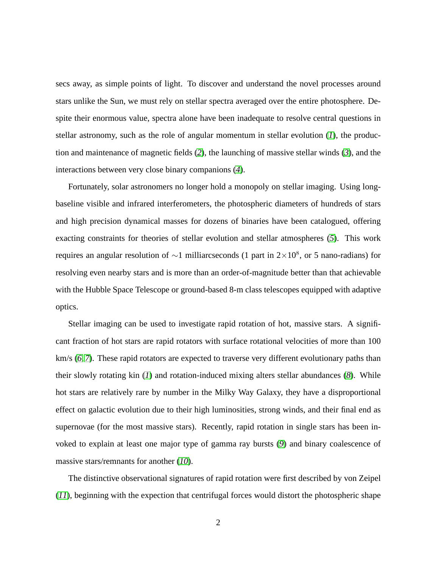secs away, as simple points of light. To discover and understand the novel processes around stars unlike the Sun, we must rely on stellar spectra averaged over the entire photosphere. Despite their enormous value, spectra alone have been inadequate to resolve central questions in stellar astronomy, such as the role of angular momentum in stellar evolution (*[1](#page-20-0)*), the production and maintenance of magnetic fields (*[2](#page-20-1)*), the launching of massive stellar winds (*[3](#page-20-2)*), and the interactions between very close binary companions (*[4](#page-20-3)*).

Fortunately, solar astronomers no longer hold a monopoly on stellar imaging. Using longbaseline visible and infrared interferometers, the photospheric diameters of hundreds of stars and high precision dynamical masses for dozens of binaries have been catalogued, offering exacting constraints for theories of stellar evolution and stellar atmospheres (*[5](#page-20-4)*). This work requires an angular resolution of  $\sim$ 1 milliarcseconds (1 part in 2×10<sup>8</sup>, or 5 nano-radians) for resolving even nearby stars and is more than an order-of-magnitude better than that achievable with the Hubble Space Telescope or ground-based 8-m class telescopes equipped with adaptive optics.

Stellar imaging can be used to investigate rapid rotation of hot, massive stars. A significant fraction of hot stars are rapid rotators with surface rotational velocities of more than 100 km/s (*[6,](#page-20-5) [7](#page-20-6)*). These rapid rotators are expected to traverse very different evolutionary paths than their slowly rotating kin (*[1](#page-20-0)*) and rotation-induced mixing alters stellar abundances (*[8](#page-21-0)*). While hot stars are relatively rare by number in the Milky Way Galaxy, they have a disproportional effect on galactic evolution due to their high luminosities, strong winds, and their final end as supernovae (for the most massive stars). Recently, rapid rotation in single stars has been invoked to explain at least one major type of gamma ray bursts (*[9](#page-21-1)*) and binary coalescence of massive stars/remnants for another (*[10](#page-21-2)*).

The distinctive observational signatures of rapid rotation were first described by von Zeipel (*[11](#page-21-3)*), beginning with the expection that centrifugal forces would distort the photospheric shape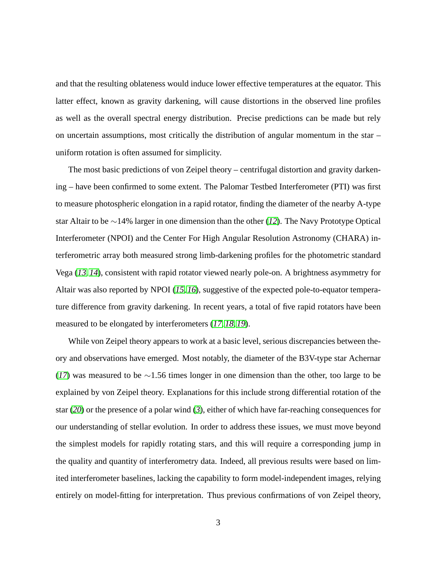and that the resulting oblateness would induce lower effective temperatures at the equator. This latter effect, known as gravity darkening, will cause distortions in the observed line profiles as well as the overall spectral energy distribution. Precise predictions can be made but rely on uncertain assumptions, most critically the distribution of angular momentum in the star – uniform rotation is often assumed for simplicity.

The most basic predictions of von Zeipel theory – centrifugal distortion and gravity darkening – have been confirmed to some extent. The Palomar Testbed Interferometer (PTI) was first to measure photospheric elongation in a rapid rotator, finding the diameter of the nearby A-type star Altair to be ∼14% larger in one dimension than the other (*[12](#page-21-4)*). The Navy Prototype Optical Interferometer (NPOI) and the Center For High Angular Resolution Astronomy (CHARA) interferometric array both measured strong limb-darkening profiles for the photometric standard Vega (*[13,](#page-21-5) [14](#page-21-6)*), consistent with rapid rotator viewed nearly pole-on. A brightness asymmetry for Altair was also reported by NPOI (*[15,](#page-21-7) [16](#page-21-8)*), suggestive of the expected pole-to-equator temperature difference from gravity darkening. In recent years, a total of five rapid rotators have been measured to be elongated by interferometers (*[17,](#page-21-9) [18,](#page-21-10) [19](#page-21-11)*).

While von Zeipel theory appears to work at a basic level, serious discrepancies between theory and observations have emerged. Most notably, the diameter of the B3V-type star Achernar (*[17](#page-21-9)*) was measured to be ∼1.56 times longer in one dimension than the other, too large to be explained by von Zeipel theory. Explanations for this include strong differential rotation of the star (*[20](#page-21-12)*) or the presence of a polar wind (*[3](#page-20-2)*), either of which have far-reaching consequences for our understanding of stellar evolution. In order to address these issues, we must move beyond the simplest models for rapidly rotating stars, and this will require a corresponding jump in the quality and quantity of interferometry data. Indeed, all previous results were based on limited interferometer baselines, lacking the capability to form model-independent images, relying entirely on model-fitting for interpretation. Thus previous confirmations of von Zeipel theory,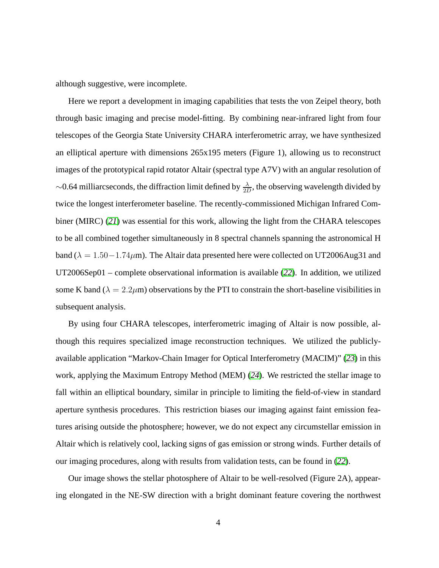although suggestive, were incomplete.

Here we report a development in imaging capabilities that tests the von Zeipel theory, both through basic imaging and precise model-fitting. By combining near-infrared light from four telescopes of the Georgia State University CHARA interferometric array, we have synthesized an elliptical aperture with dimensions 265x195 meters (Figure 1), allowing us to reconstruct images of the prototypical rapid rotator Altair (spectral type A7V) with an angular resolution of  $\sim$ 0.64 milliarcseconds, the diffraction limit defined by  $\frac{\lambda}{2D}$ , the observing wavelength divided by twice the longest interferometer baseline. The recently-commissioned Michigan Infrared Combiner (MIRC) (*[21](#page-21-13)*) was essential for this work, allowing the light from the CHARA telescopes to be all combined together simultaneously in 8 spectral channels spanning the astronomical H band ( $\lambda = 1.50 - 1.74 \mu$ m). The Altair data presented here were collected on UT2006Aug31 and UT2006Sep01 – complete observational information is available (*[22](#page-21-14)*). In addition, we utilized some K band ( $\lambda = 2.2 \mu$ m) observations by the PTI to constrain the short-baseline visibilities in subsequent analysis.

By using four CHARA telescopes, interferometric imaging of Altair is now possible, although this requires specialized image reconstruction techniques. We utilized the publiclyavailable application "Markov-Chain Imager for Optical Interferometry (MACIM)" (*[23](#page-21-15)*) in this work, applying the Maximum Entropy Method (MEM) (*[24](#page-22-0)*). We restricted the stellar image to fall within an elliptical boundary, similar in principle to limiting the field-of-view in standard aperture synthesis procedures. This restriction biases our imaging against faint emission features arising outside the photosphere; however, we do not expect any circumstellar emission in Altair which is relatively cool, lacking signs of gas emission or strong winds. Further details of our imaging procedures, along with results from validation tests, can be found in (*[22](#page-21-14)*).

Our image shows the stellar photosphere of Altair to be well-resolved (Figure 2A), appearing elongated in the NE-SW direction with a bright dominant feature covering the northwest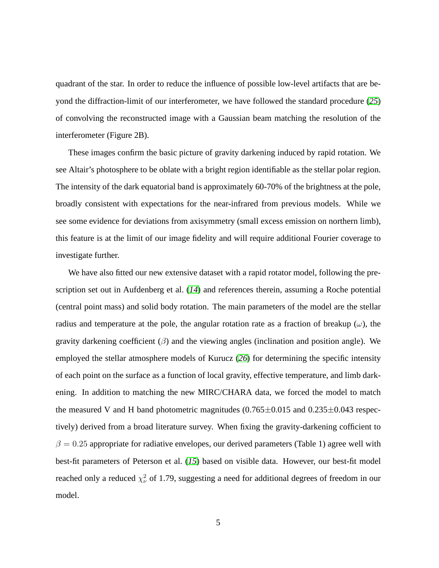quadrant of the star. In order to reduce the influence of possible low-level artifacts that are beyond the diffraction-limit of our interferometer, we have followed the standard procedure (*[25](#page-22-1)*) of convolving the reconstructed image with a Gaussian beam matching the resolution of the interferometer (Figure 2B).

These images confirm the basic picture of gravity darkening induced by rapid rotation. We see Altair's photosphere to be oblate with a bright region identifiable as the stellar polar region. The intensity of the dark equatorial band is approximately 60-70% of the brightness at the pole, broadly consistent with expectations for the near-infrared from previous models. While we see some evidence for deviations from axisymmetry (small excess emission on northern limb), this feature is at the limit of our image fidelity and will require additional Fourier coverage to investigate further.

We have also fitted our new extensive dataset with a rapid rotator model, following the prescription set out in Aufdenberg et al. (*[14](#page-21-6)*) and references therein, assuming a Roche potential (central point mass) and solid body rotation. The main parameters of the model are the stellar radius and temperature at the pole, the angular rotation rate as a fraction of breakup  $(\omega)$ , the gravity darkening coefficient  $(\beta)$  and the viewing angles (inclination and position angle). We employed the stellar atmosphere models of Kurucz (*[26](#page-22-2)*) for determining the specific intensity of each point on the surface as a function of local gravity, effective temperature, and limb darkening. In addition to matching the new MIRC/CHARA data, we forced the model to match the measured V and H band photometric magnitudes  $(0.765 \pm 0.015$  and  $0.235 \pm 0.043$  respectively) derived from a broad literature survey. When fixing the gravity-darkening cofficient to  $\beta = 0.25$  appropriate for radiative envelopes, our derived parameters (Table 1) agree well with best-fit parameters of Peterson et al. (*[15](#page-21-7)*) based on visible data. However, our best-fit model reached only a reduced  $\chi^2_{\nu}$  of 1.79, suggesting a need for additional degrees of freedom in our model.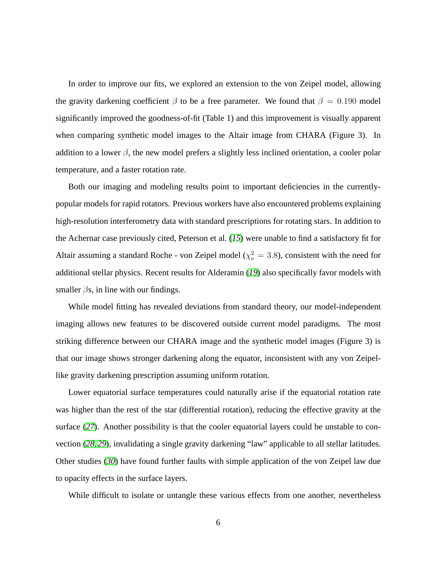In order to improve our fits, we explored an extension to the von Zeipel model, allowing the gravity darkening coefficient  $\beta$  to be a free parameter. We found that  $\beta = 0.190$  model significantly improved the goodness-of-fit (Table 1) and this improvement is visually apparent when comparing synthetic model images to the Altair image from CHARA (Figure 3). In addition to a lower  $\beta$ , the new model prefers a slightly less inclined orientation, a cooler polar temperature, and a faster rotation rate.

Both our imaging and modeling results point to important deficiencies in the currentlypopular models for rapid rotators. Previous workers have also encountered problems explaining high-resolution interferometry data with standard prescriptions for rotating stars. In addition to the Achernar case previously cited, Peterson et al. (*[15](#page-21-7)*) were unable to find a satisfactory fit for Altair assuming a standard Roche - von Zeipel model ( $\chi^2_{\nu} = 3.8$ ), consistent with the need for additional stellar physics. Recent results for Alderamin (*[19](#page-21-11)*) also specifically favor models with smaller  $\beta$ s, in line with our findings.

While model fitting has revealed deviations from standard theory, our model-independent imaging allows new features to be discovered outside current model paradigms. The most striking difference between our CHARA image and the synthetic model images (Figure 3) is that our image shows stronger darkening along the equator, inconsistent with any von Zeipellike gravity darkening prescription assuming uniform rotation.

Lower equatorial surface temperatures could naturally arise if the equatorial rotation rate was higher than the rest of the star (differential rotation), reducing the effective gravity at the surface (*[27](#page-22-3)*). Another possibility is that the cooler equatorial layers could be unstable to convection (*[28,](#page-22-4) [29](#page-22-5)*), invalidating a single gravity darkening "law" applicable to all stellar latitudes. Other studies (*[30](#page-22-6)*) have found further faults with simple application of the von Zeipel law due to opacity effects in the surface layers.

While difficult to isolate or untangle these various effects from one another, nevertheless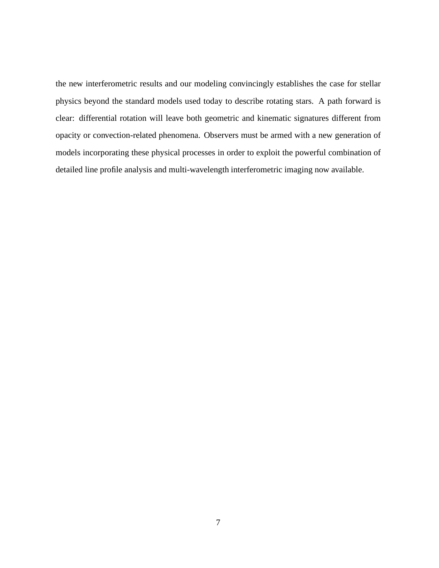the new interferometric results and our modeling convincingly establishes the case for stellar physics beyond the standard models used today to describe rotating stars. A path forward is clear: differential rotation will leave both geometric and kinematic signatures different from opacity or convection-related phenomena. Observers must be armed with a new generation of models incorporating these physical processes in order to exploit the powerful combination of detailed line profile analysis and multi-wavelength interferometric imaging now available.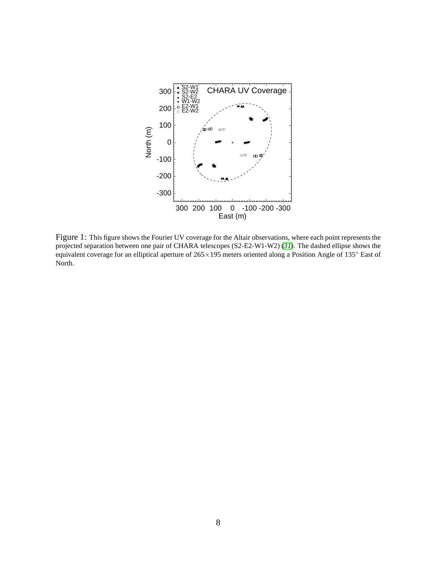

Figure 1: This figure shows the Fourier UV coverage for the Altair observations, where each point represents the projected separation between one pair of CHARA telescopes (S2-E2-W1-W2) (*[31](#page-22-7)*). The dashed ellipse shows the equivalent coverage for an elliptical aperture of 265×195 meters oriented along a Position Angle of 135◦ East of North.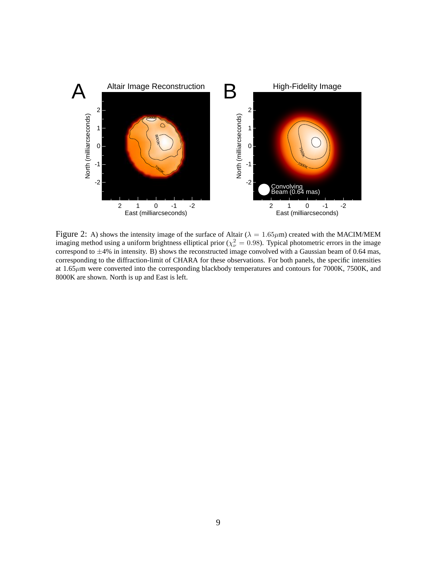

Figure 2: A) shows the intensity image of the surface of Altair ( $\lambda = 1.65 \mu$ m) created with the MACIM/MEM imaging method using a uniform brightness elliptical prior ( $\chi^2_{\nu} = 0.98$ ). Typical photometric errors in the image correspond to  $\pm$ 4% in intensity. B) shows the reconstructed image convolved with a Gaussian beam of 0.64 mas, corresponding to the diffraction-limit of CHARA for these observations. For both panels, the specific intensities at 1.65µm were converted into the corresponding blackbody temperatures and contours for 7000K, 7500K, and 8000K are shown. North is up and East is left.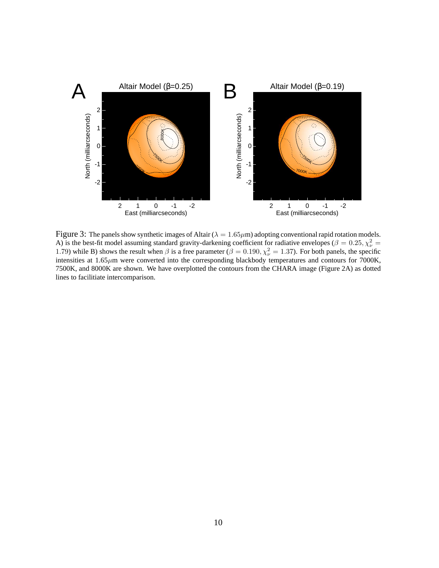

Figure 3: The panels show synthetic images of Altair ( $\lambda = 1.65 \mu$ m) adopting conventional rapid rotation models. A) is the best-fit model assuming standard gravity-darkening coefficient for radiative envelopes ( $\beta = 0.25, \chi^2_{\nu} =$ 1.79) while B) shows the result when  $\beta$  is a free parameter ( $\beta = 0.190, \chi^2_{\nu} = 1.37$ ). For both panels, the specific intensities at  $1.65 \mu m$  were converted into the corresponding blackbody temperatures and contours for 7000K, 7500K, and 8000K are shown. We have overplotted the contours from the CHARA image (Figure 2A) as dotted lines to facilitiate intercomparison.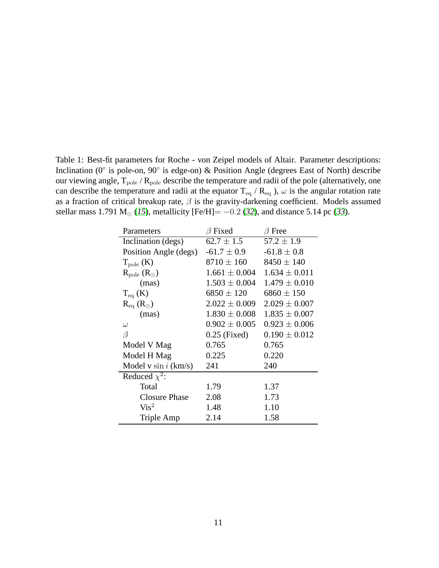Table 1: Best-fit parameters for Roche - von Zeipel models of Altair. Parameter descriptions: Inclination (0◦ is pole-on, 90◦ is edge-on) & Position Angle (degrees East of North) describe our viewing angle,  $T_{pole}$  /  $R_{pole}$  describe the temperature and radii of the pole (alternatively, one can describe the temperature and radii at the equator  $T_{eq}$  /  $R_{eq}$  ),  $\omega$  is the angular rotation rate as a fraction of critical breakup rate,  $\beta$  is the gravity-darkening coefficient. Models assumed stellar mass 1.791 M<sub>☉</sub> ([15](#page-21-7)), metallicity [Fe/H]=  $-0.2$  ([32](#page-22-8)), and distance 5.14 pc ([33](#page-22-9)).

| Parameters               | $\beta$ Fixed     | $\beta$ Free      |
|--------------------------|-------------------|-------------------|
| Inclination (degs)       | $62.7 \pm 1.5$    | $57.2 \pm 1.9$    |
| Position Angle (degs)    | $-61.7 \pm 0.9$   | $-61.8 \pm 0.8$   |
| $T_{pole}$ (K)           | $8710 \pm 160$    | $8450 \pm 140$    |
| $R_{pole} (R_{\odot})$   | $1.661 \pm 0.004$ | $1.634 \pm 0.011$ |
| (mas)                    | $1.503 \pm 0.004$ | $1.479 \pm 0.010$ |
| $T_{eq}$ (K)             | $6850 \pm 120$    | $6860 \pm 150$    |
| $R_{eq}$ ( $R_{\odot}$ ) | $2.022 \pm 0.009$ | $2.029 \pm 0.007$ |
| (mas)                    | $1.830 \pm 0.008$ | $1.835 \pm 0.007$ |
| $\omega$                 | $0.902\pm0.005$   | $0.923 \pm 0.006$ |
| $\beta$                  | $0.25$ (Fixed)    | $0.190 \pm 0.012$ |
| Model V Mag              | 0.765             | 0.765             |
| Model H Mag              | 0.225             | 0.220             |
| Model v $\sin i$ (km/s)  | 241               | 240               |
| Reduced $\chi^2$ :       |                   |                   |
| Total                    | 1.79              | 1.37              |
| <b>Closure Phase</b>     | 2.08              | 1.73              |
| Vis <sup>2</sup>         | 1.48              | 1.10              |
| Triple Amp               | 2.14              | 1.58              |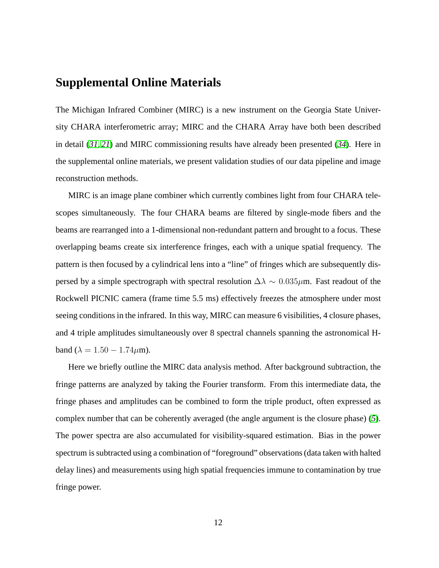## **Supplemental Online Materials**

The Michigan Infrared Combiner (MIRC) is a new instrument on the Georgia State University CHARA interferometric array; MIRC and the CHARA Array have both been described in detail (*[31,](#page-22-7) [21](#page-21-13)*) and MIRC commissioning results have already been presented (*[34](#page-22-10)*). Here in the supplemental online materials, we present validation studies of our data pipeline and image reconstruction methods.

MIRC is an image plane combiner which currently combines light from four CHARA telescopes simultaneously. The four CHARA beams are filtered by single-mode fibers and the beams are rearranged into a 1-dimensional non-redundant pattern and brought to a focus. These overlapping beams create six interference fringes, each with a unique spatial frequency. The pattern is then focused by a cylindrical lens into a "line" of fringes which are subsequently dispersed by a simple spectrograph with spectral resolution  $\Delta\lambda \sim 0.035 \mu$ m. Fast readout of the Rockwell PICNIC camera (frame time 5.5 ms) effectively freezes the atmosphere under most seeing conditions in the infrared. In this way, MIRC can measure 6 visibilities, 4 closure phases, and 4 triple amplitudes simultaneously over 8 spectral channels spanning the astronomical Hband ( $\lambda = 1.50 - 1.74 \mu m$ ).

Here we briefly outline the MIRC data analysis method. After background subtraction, the fringe patterns are analyzed by taking the Fourier transform. From this intermediate data, the fringe phases and amplitudes can be combined to form the triple product, often expressed as complex number that can be coherently averaged (the angle argument is the closure phase) (*[5](#page-20-4)*). The power spectra are also accumulated for visibility-squared estimation. Bias in the power spectrum is subtracted using a combination of "foreground" observations (data taken with halted delay lines) and measurements using high spatial frequencies immune to contamination by true fringe power.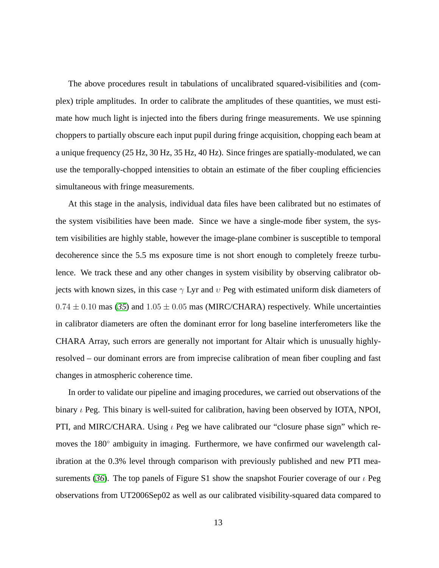The above procedures result in tabulations of uncalibrated squared-visibilities and (complex) triple amplitudes. In order to calibrate the amplitudes of these quantities, we must estimate how much light is injected into the fibers during fringe measurements. We use spinning choppers to partially obscure each input pupil during fringe acquisition, chopping each beam at a unique frequency (25 Hz, 30 Hz, 35 Hz, 40 Hz). Since fringes are spatially-modulated, we can use the temporally-chopped intensities to obtain an estimate of the fiber coupling efficiencies simultaneous with fringe measurements.

At this stage in the analysis, individual data files have been calibrated but no estimates of the system visibilities have been made. Since we have a single-mode fiber system, the system visibilities are highly stable, however the image-plane combiner is susceptible to temporal decoherence since the 5.5 ms exposure time is not short enough to completely freeze turbulence. We track these and any other changes in system visibility by observing calibrator objects with known sizes, in this case  $\gamma$  Lyr and  $\upsilon$  Peg with estimated uniform disk diameters of  $0.74 \pm 0.10$  mas ([35](#page-22-11)) and  $1.05 \pm 0.05$  mas (MIRC/CHARA) respectively. While uncertainties in calibrator diameters are often the dominant error for long baseline interferometers like the CHARA Array, such errors are generally not important for Altair which is unusually highlyresolved – our dominant errors are from imprecise calibration of mean fiber coupling and fast changes in atmospheric coherence time.

In order to validate our pipeline and imaging procedures, we carried out observations of the binary  $\iota$  Peg. This binary is well-suited for calibration, having been observed by IOTA, NPOI, PTI, and MIRC/CHARA. Using  $\iota$  Peg we have calibrated our "closure phase sign" which removes the 180° ambiguity in imaging. Furthermore, we have confirmed our wavelength calibration at the 0.3% level through comparison with previously published and new PTI mea-surements ([36](#page-22-12)). The top panels of Figure S1 show the snapshot Fourier coverage of our  $\iota$  Peg observations from UT2006Sep02 as well as our calibrated visibility-squared data compared to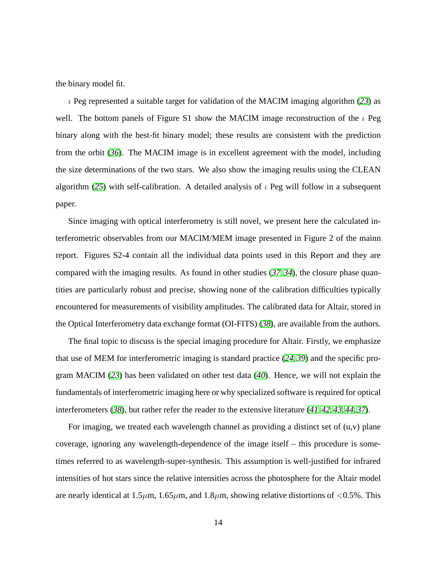the binary model fit.

 $\iota$  Peg represented a suitable target for validation of the MACIM imaging algorithm ([23](#page-21-15)) as well. The bottom panels of Figure S1 show the MACIM image reconstruction of the  $\iota$  Peg binary along with the best-fit binary model; these results are consistent with the prediction from the orbit (*[36](#page-22-12)*). The MACIM image is in excellent agreement with the model, including the size determinations of the two stars. We also show the imaging results using the CLEAN algorithm ([25](#page-22-1)) with self-calibration. A detailed analysis of  $\iota$  Peg will follow in a subsequent paper.

Since imaging with optical interferometry is still novel, we present here the calculated interferometric observables from our MACIM/MEM image presented in Figure 2 of the mainn report. Figures S2-4 contain all the individual data points used in this Report and they are compared with the imaging results. As found in other studies (*[37,](#page-22-13) [34](#page-22-10)*), the closure phase quantities are particularly robust and precise, showing none of the calibration difficulties typically encountered for measurements of visibility amplitudes. The calibrated data for Altair, stored in the Optical Interferometry data exchange format (OI-FITS) (*[38](#page-22-14)*), are available from the authors.

The final topic to discuss is the special imaging procedure for Altair. Firstly, we emphasize that use of MEM for interferometric imaging is standard practice (*[24,](#page-22-0) [39](#page-22-15)*) and the specific program MACIM (*[23](#page-21-15)*) has been validated on other test data (*[40](#page-22-16)*). Hence, we will not explain the fundamentals of interferometric imaging here or why specialized software is required for optical interferometers (*[38](#page-22-14)*), but rather refer the reader to the extensive literature (*[41,](#page-23-0) [42,](#page-23-1) [43,](#page-23-2) [44,](#page-23-3) [37](#page-22-13)*).

For imaging, we treated each wavelength channel as providing a distinct set of  $(u,v)$  plane coverage, ignoring any wavelength-dependence of the image itself – this procedure is sometimes referred to as wavelength-super-synthesis. This assumption is well-justified for infrared intensities of hot stars since the relative intensities across the photosphere for the Altair model are nearly identical at  $1.5\mu$ m,  $1.65\mu$ m, and  $1.8\mu$ m, showing relative distortions of <0.5%. This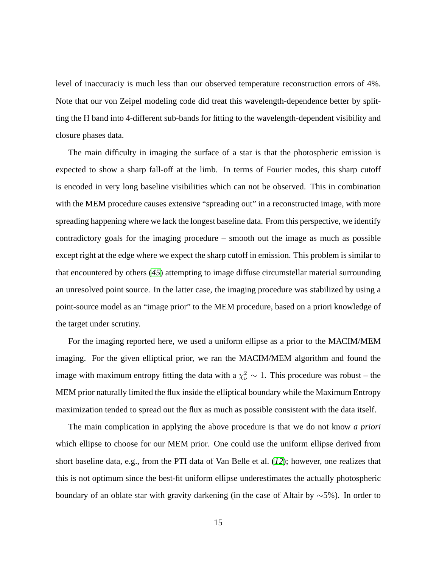level of inaccuraciy is much less than our observed temperature reconstruction errors of 4%. Note that our von Zeipel modeling code did treat this wavelength-dependence better by splitting the H band into 4-different sub-bands for fitting to the wavelength-dependent visibility and closure phases data.

The main difficulty in imaging the surface of a star is that the photospheric emission is expected to show a sharp fall-off at the limb. In terms of Fourier modes, this sharp cutoff is encoded in very long baseline visibilities which can not be observed. This in combination with the MEM procedure causes extensive "spreading out" in a reconstructed image, with more spreading happening where we lack the longest baseline data. From this perspective, we identify contradictory goals for the imaging procedure – smooth out the image as much as possible except right at the edge where we expect the sharp cutoff in emission. This problem is similar to that encountered by others (*[45](#page-23-4)*) attempting to image diffuse circumstellar material surrounding an unresolved point source. In the latter case, the imaging procedure was stabilized by using a point-source model as an "image prior" to the MEM procedure, based on a priori knowledge of the target under scrutiny.

For the imaging reported here, we used a uniform ellipse as a prior to the MACIM/MEM imaging. For the given elliptical prior, we ran the MACIM/MEM algorithm and found the image with maximum entropy fitting the data with a  $\chi^2_{\nu} \sim 1$ . This procedure was robust – the MEM prior naturally limited the flux inside the elliptical boundary while the Maximum Entropy maximization tended to spread out the flux as much as possible consistent with the data itself.

The main complication in applying the above procedure is that we do not know *a priori* which ellipse to choose for our MEM prior. One could use the uniform ellipse derived from short baseline data, e.g., from the PTI data of Van Belle et al. (*[12](#page-21-4)*); however, one realizes that this is not optimum since the best-fit uniform ellipse underestimates the actually photospheric boundary of an oblate star with gravity darkening (in the case of Altair by ∼5%). In order to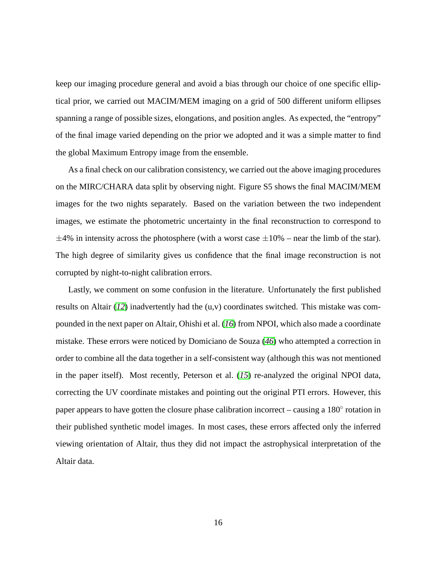keep our imaging procedure general and avoid a bias through our choice of one specific elliptical prior, we carried out MACIM/MEM imaging on a grid of 500 different uniform ellipses spanning a range of possible sizes, elongations, and position angles. As expected, the "entropy" of the final image varied depending on the prior we adopted and it was a simple matter to find the global Maximum Entropy image from the ensemble.

As a final check on our calibration consistency, we carried out the above imaging procedures on the MIRC/CHARA data split by observing night. Figure S5 shows the final MACIM/MEM images for the two nights separately. Based on the variation between the two independent images, we estimate the photometric uncertainty in the final reconstruction to correspond to  $\pm$ 4% in intensity across the photosphere (with a worst case  $\pm$ 10% – near the limb of the star). The high degree of similarity gives us confidence that the final image reconstruction is not corrupted by night-to-night calibration errors.

Lastly, we comment on some confusion in the literature. Unfortunately the first published results on Altair (*[12](#page-21-4)*) inadvertently had the (u,v) coordinates switched. This mistake was compounded in the next paper on Altair, Ohishi et al. (*[16](#page-21-8)*) from NPOI, which also made a coordinate mistake. These errors were noticed by Domiciano de Souza (*[46](#page-23-5)*) who attempted a correction in order to combine all the data together in a self-consistent way (although this was not mentioned in the paper itself). Most recently, Peterson et al. (*[15](#page-21-7)*) re-analyzed the original NPOI data, correcting the UV coordinate mistakes and pointing out the original PTI errors. However, this paper appears to have gotten the closure phase calibration incorrect – causing a 180° rotation in their published synthetic model images. In most cases, these errors affected only the inferred viewing orientation of Altair, thus they did not impact the astrophysical interpretation of the Altair data.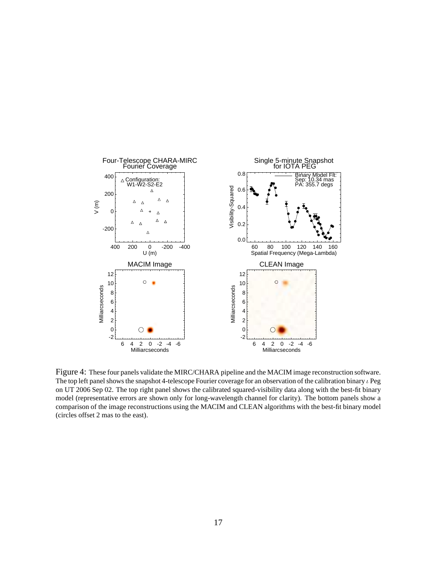

Figure 4: These four panels validate the MIRC/CHARA pipeline and the MACIM image reconstruction software. The top left panel shows the snapshot 4-telescope Fourier coverage for an observation of the calibration binary  $\iota$  Peg on UT 2006 Sep 02. The top right panel shows the calibrated squared-visibility data along with the best-fit binary model (representative errors are shown only for long-wavelength channel for clarity). The bottom panels show a comparison of the image reconstructions using the MACIM and CLEAN algorithms with the best-fit binary model (circles offset 2 mas to the east).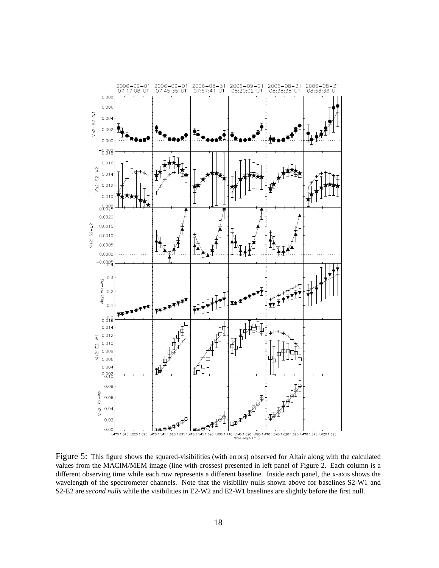

Figure 5: This figure shows the squared-visibilities (with errors) observed for Altair along with the calculated values from the MACIM/MEM image (line with crosses) presented in left panel of Figure 2. Each column is a different observing time while each row represents a different baseline. Inside each panel, the x-axis shows the wavelength of the spectrometer channels. Note that the visibility nulls shown above for baselines S2-W1 and S2-E2 are *second nulls* while the visibilities in E2-W2 and E2-W1 baselines are slightly before the first null.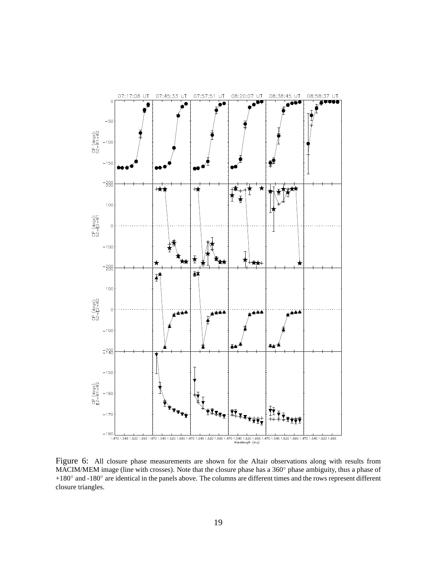

Figure 6: All closure phase measurements are shown for the Altair observations along with results from MACIM/MEM image (line with crosses). Note that the closure phase has a 360° phase ambiguity, thus a phase of +180◦ and -180◦ are identical in the panels above. The columns are different times and the rows represent different closure triangles.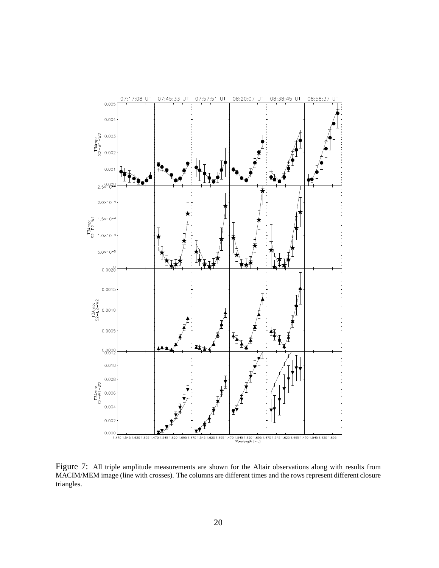

Figure 7: All triple amplitude measurements are shown for the Altair observations along with results from MACIM/MEM image (line with crosses). The columns are different times and the rows represent different closure triangles.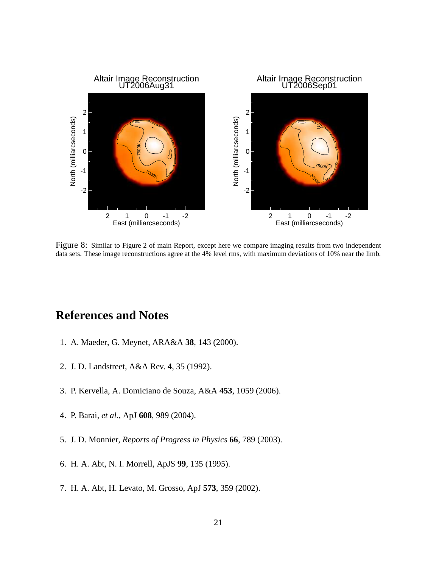

Figure 8: Similar to Figure 2 of main Report, except here we compare imaging results from two independent data sets. These image reconstructions agree at the 4% level rms, with maximum deviations of 10% near the limb.

## <span id="page-20-0"></span>**References and Notes**

- <span id="page-20-1"></span>1. A. Maeder, G. Meynet, ARA&A **38**, 143 (2000).
- <span id="page-20-2"></span>2. J. D. Landstreet, A&A Rev. **4**, 35 (1992).
- <span id="page-20-3"></span>3. P. Kervella, A. Domiciano de Souza, A&A **453**, 1059 (2006).
- <span id="page-20-4"></span>4. P. Barai, *et al.*, ApJ **608**, 989 (2004).
- <span id="page-20-5"></span>5. J. D. Monnier, *Reports of Progress in Physics* **66**, 789 (2003).
- <span id="page-20-6"></span>6. H. A. Abt, N. I. Morrell, ApJS **99**, 135 (1995).
- 7. H. A. Abt, H. Levato, M. Grosso, ApJ **573**, 359 (2002).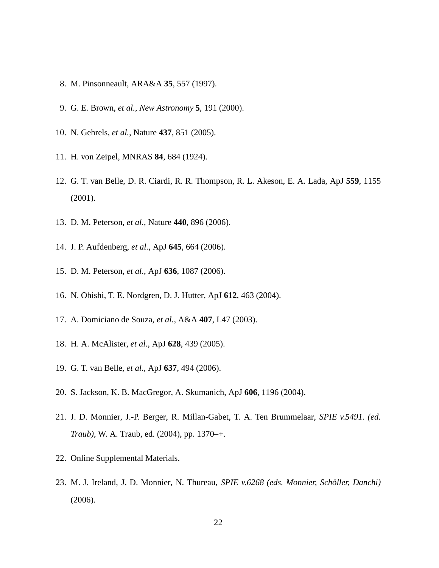- <span id="page-21-1"></span><span id="page-21-0"></span>8. M. Pinsonneault, ARA&A **35**, 557 (1997).
- <span id="page-21-2"></span>9. G. E. Brown, *et al.*, *New Astronomy* **5**, 191 (2000).
- <span id="page-21-3"></span>10. N. Gehrels, *et al.*, Nature **437**, 851 (2005).
- <span id="page-21-4"></span>11. H. von Zeipel, MNRAS **84**, 684 (1924).
- <span id="page-21-5"></span>12. G. T. van Belle, D. R. Ciardi, R. R. Thompson, R. L. Akeson, E. A. Lada, ApJ **559**, 1155 (2001).
- <span id="page-21-6"></span>13. D. M. Peterson, *et al.*, Nature **440**, 896 (2006).
- <span id="page-21-7"></span>14. J. P. Aufdenberg, *et al.*, ApJ **645**, 664 (2006).
- <span id="page-21-8"></span>15. D. M. Peterson, *et al.*, ApJ **636**, 1087 (2006).
- <span id="page-21-9"></span>16. N. Ohishi, T. E. Nordgren, D. J. Hutter, ApJ **612**, 463 (2004).
- <span id="page-21-10"></span>17. A. Domiciano de Souza, *et al.*, A&A **407**, L47 (2003).
- <span id="page-21-11"></span>18. H. A. McAlister, *et al.*, ApJ **628**, 439 (2005).
- <span id="page-21-12"></span>19. G. T. van Belle, *et al.*, ApJ **637**, 494 (2006).
- <span id="page-21-13"></span>20. S. Jackson, K. B. MacGregor, A. Skumanich, ApJ **606**, 1196 (2004).
- <span id="page-21-14"></span>21. J. D. Monnier, J.-P. Berger, R. Millan-Gabet, T. A. Ten Brummelaar, *SPIE v.5491. (ed. Traub)*, W. A. Traub, ed. (2004), pp. 1370–+.
- <span id="page-21-15"></span>22. Online Supplemental Materials.
- 23. M. J. Ireland, J. D. Monnier, N. Thureau, *SPIE v.6268 (eds. Monnier, Scholler, Danchi) ¨* (2006).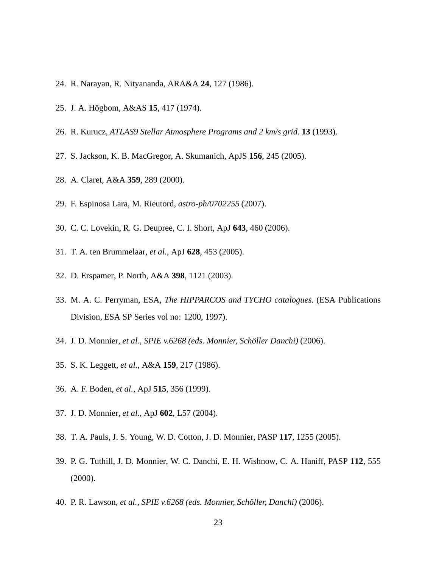- <span id="page-22-1"></span><span id="page-22-0"></span>24. R. Narayan, R. Nityananda, ARA&A **24**, 127 (1986).
- <span id="page-22-2"></span>25. J. A. H¨ogbom, A&AS **15**, 417 (1974).
- <span id="page-22-3"></span>26. R. Kurucz, *ATLAS9 Stellar Atmosphere Programs and 2 km/s grid.* **13** (1993).
- <span id="page-22-4"></span>27. S. Jackson, K. B. MacGregor, A. Skumanich, ApJS **156**, 245 (2005).
- <span id="page-22-5"></span>28. A. Claret, A&A **359**, 289 (2000).
- <span id="page-22-6"></span>29. F. Espinosa Lara, M. Rieutord, *astro-ph/0702255* (2007).
- <span id="page-22-7"></span>30. C. C. Lovekin, R. G. Deupree, C. I. Short, ApJ **643**, 460 (2006).
- <span id="page-22-8"></span>31. T. A. ten Brummelaar, *et al.*, ApJ **628**, 453 (2005).
- <span id="page-22-9"></span>32. D. Erspamer, P. North, A&A **398**, 1121 (2003).
- <span id="page-22-10"></span>33. M. A. C. Perryman, ESA, *The HIPPARCOS and TYCHO catalogues.* (ESA Publications Division, ESA SP Series vol no: 1200, 1997).
- <span id="page-22-11"></span>34. J. D. Monnier, *et al.*, *SPIE v.6268 (eds. Monnier, Scholler Danchi) ¨* (2006).
- <span id="page-22-12"></span>35. S. K. Leggett, *et al.*, A&A **159**, 217 (1986).
- <span id="page-22-13"></span>36. A. F. Boden, *et al.*, ApJ **515**, 356 (1999).
- <span id="page-22-14"></span>37. J. D. Monnier, *et al.*, ApJ **602**, L57 (2004).
- <span id="page-22-15"></span>38. T. A. Pauls, J. S. Young, W. D. Cotton, J. D. Monnier, PASP **117**, 1255 (2005).
- <span id="page-22-16"></span>39. P. G. Tuthill, J. D. Monnier, W. C. Danchi, E. H. Wishnow, C. A. Haniff, PASP **112**, 555 (2000).
- 40. P. R. Lawson, *et al.*, *SPIE v.6268 (eds. Monnier, Scholler, Danchi) ¨* (2006).